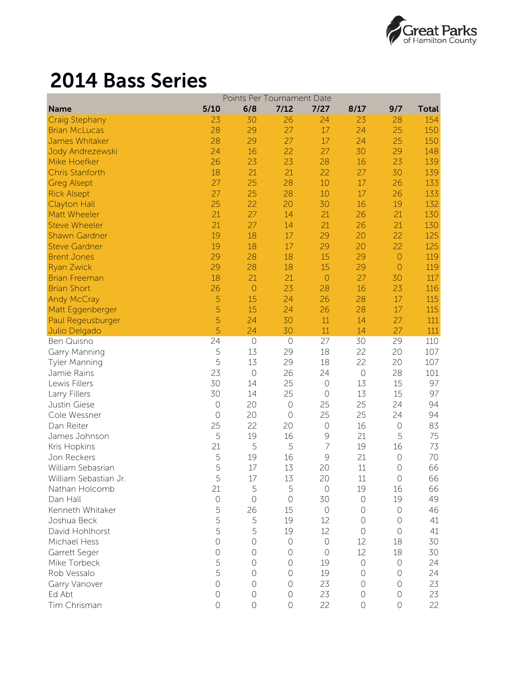

## 2014 Bass Series

|                        | Points Per Tournament Date |                |            |                |            |            |              |  |
|------------------------|----------------------------|----------------|------------|----------------|------------|------------|--------------|--|
| <b>Name</b>            | 5/10                       | 6/8            | 7/12       | 7/27           | 8/17       | 9/7        | <b>Total</b> |  |
| <b>Craig Stephany</b>  | 23                         | 30             | 26         | 24             | 23         | 28         | 154          |  |
| <b>Brian McLucas</b>   | 28                         | 29             | 27         | 17             | 24         | 25         | 150          |  |
| James Whitaker         | 28                         | 29             | 27         | 17             | 24         | 25         | 150          |  |
| Jody Andrezewski       | 24                         | 16             | 22         | 27             | 30         | 29         | 148          |  |
| Mike Hoefker           | 26                         | 23             | 23         | 28             | 16         | 23         | 139          |  |
| <b>Chris Stanforth</b> | 18                         | 21             | 21         | 22             | 27         | 30         | 139          |  |
| <b>Greg Alsept</b>     | 27                         | 25             | 28         | 10             | 17         | 26         | 133          |  |
| <b>Rick Alsept</b>     | 27                         | 25             | 28         | 10             | 17         | 26         | 133          |  |
| <b>Clayton Hall</b>    | 25                         | 22             | 20         | 30             | 16         | 19         | 132          |  |
| Matt Wheeler           | 21                         | 27             | 14         | 21             | 26         | 21         | 130          |  |
| <b>Steve Wheeler</b>   | 21                         | 27             | 14         | 21             | 26         | 21         | 130          |  |
| <b>Shawn Gardner</b>   | 19                         | 18             | 17         | 29             | 20         | 22         | 125          |  |
| <b>Steve Gardner</b>   | 19                         | 18             | 17         | 29             | 20         | 22         | 125          |  |
| <b>Brent Jones</b>     | 29                         | 28             | 18         | 15             | 29         | $\circ$    | 119          |  |
| <b>Ryan Zwick</b>      | 29                         | 28             | 18         | 15             | 29         | $\circ$    | 119          |  |
| <b>Brian Freeman</b>   | 18                         | 21             | 21         | $\circ$        | 27         | 30         | 117          |  |
| <b>Brian Short</b>     | 26                         | $\circ$        | 23         | 28             | 16         | 23         | 116          |  |
| <b>Andy McCray</b>     | 5                          | 15             | 24         | 26             | 28         | 17         | 115          |  |
| Matt Eggenberger       | 5                          | 15             | 24         | 26             | 28         | 17         | 115          |  |
| Paul Regeusburger      | 5                          | 24             | 30         | 11             | 14         | 27         | 111          |  |
| Julio Delgado          | 5                          | 24             | 30         | 11             | 14         | 27         | 111          |  |
| <b>Ben Quisno</b>      | 24                         | $\circ$        | $\bigcirc$ | 27             | 30         | 29         | 110          |  |
| Garry Manning          | 5                          | 13             | 29         | 18             | 22         | 20         | 107          |  |
| <b>Tyler Manning</b>   | 5                          | 13             | 29         | 18             | 22         | 20         | 107          |  |
| Jamie Rains            | 23                         | $\circ$        | 26         | 24             | $\bigcirc$ | 28         | 101          |  |
| Lewis Fillers          | 30                         | 14             | 25         | $\circ$        | 13         | 15         | 97           |  |
| Larry Fillers          | 30                         | 14             | 25         | $\circ$        | 13         | 15         | 97           |  |
| Justin Giese           | $\bigcirc$                 | 20             | $\bigcirc$ | 25             | 25         | 24         | 94           |  |
| Cole Wessner           | $\circ$                    | 20             | $\circ$    | 25             | 25         | 24         | 94           |  |
| Dan Reiter             | 25                         | 22             | 20         | $\circ$        | 16         | $\bigcirc$ | 83           |  |
| James Johnson          | 5                          | 19             | 16         | 9              | 21         | 5          | 75           |  |
| Kris Hopkins           | 21                         | 5              | 5          | $\overline{7}$ | 19         | 16         | 73           |  |
| Jon Reckers            | 5                          | 19             | 16         | $\mathcal{G}$  | 21         | $\bigcirc$ | 70           |  |
| William Sebasrian      | 5                          | 17             | 13         | 20             | 11         | $\bigcirc$ | 66           |  |
| William Sebastian Jr.  | 5                          | $17\,$         | 13         | 20             | $11\,$     | $\bigcirc$ | 66           |  |
| Nathan Holcomb         | 21                         | 5              | 5          | $\bigcirc$     | 19         | 16         | 66           |  |
| Dan Hall               | $\bigcirc$                 | $\bigcirc$     | $\bigcirc$ | 30             | $\bigcirc$ | 19         | 49           |  |
| Kenneth Whitaker       | 5                          | 26             | 15         | $\circ$        | $\bigcirc$ | $\circ$    | 46           |  |
| Joshua Beck            | 5                          | 5              | 19         | 12             | $\bigcirc$ | $\bigcirc$ | 41           |  |
| David Hohlhorst        | 5                          | 5              | 19         | 12             | $\circ$    | $\bigcirc$ | 41           |  |
| Michael Hess           | $\overline{O}$             | $\circ$        | $\bigcirc$ | $\circ$        | 12         | 18         | 30           |  |
| Garrett Seger          | $\circ$                    | $\circ$        | $\circ$    | $\circ$        | 12         | 18         | 30           |  |
| Mike Torbeck           | 5                          | $\circ$        | $\circ$    | 19             | $\bigcirc$ | $\circ$    | 24           |  |
| Rob Vessalo            | 5                          | $\Omega$       | $\circ$    | 19             | $\bigcirc$ | $\bigcirc$ | 24           |  |
| Garry Vanover          | $\circ$                    | $\circ$        | $\bigcirc$ | 23             | $\bigcirc$ | 0          | 23           |  |
| Ed Abt                 | $\bigcirc$                 | $\bigcirc$     | $\bigcirc$ | 23             | $\bigcirc$ | $\bigcirc$ | 23           |  |
| Tim Chrisman           | $\circ$                    | $\overline{O}$ | $\bigcirc$ | 22             | $\bigcirc$ | $\bigcirc$ | 22           |  |